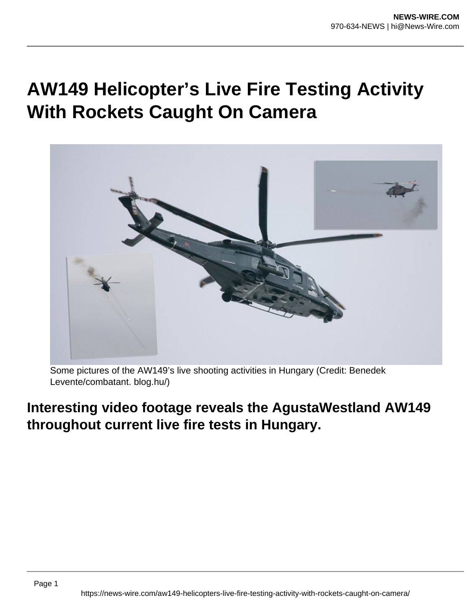## **AW149 Helicopter's Live Fire Testing Activity With Rockets Caught On Camera**



Some pictures of the AW149's live shooting activities in Hungary (Credit: Benedek Levente/combatant. blog.hu/)

## **Interesting video footage reveals the AgustaWestland AW149 throughout current live fire tests in Hungary.**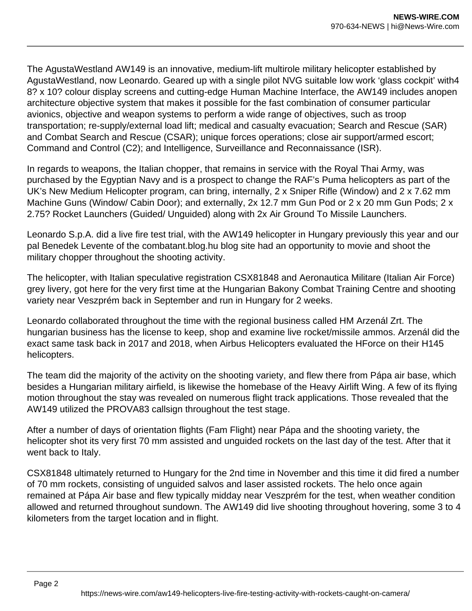The AgustaWestland AW149 is an innovative, medium-lift multirole military helicopter established by AgustaWestland, now Leonardo. Geared up with a single pilot NVG suitable low work 'glass cockpit' with4 8? x 10? colour display screens and cutting-edge Human Machine Interface, the AW149 includes anopen architecture objective system that makes it possible for the fast combination of consumer particular avionics, objective and weapon systems to perform a wide range of objectives, such as troop transportation; re-supply/external load lift; medical and casualty evacuation; Search and Rescue (SAR) and Combat Search and Rescue (CSAR); unique forces operations; close air support/armed escort; Command and Control (C2); and Intelligence, Surveillance and Reconnaissance (ISR).

In regards to weapons, the Italian chopper, that remains in service with the Royal Thai Army, was purchased by the Egyptian Navy and is a prospect to change the RAF's Puma helicopters as part of the UK's New Medium Helicopter program, can bring, internally, 2 x Sniper Rifle (Window) and 2 x 7.62 mm Machine Guns (Window/ Cabin Door); and externally, 2x 12.7 mm Gun Pod or 2 x 20 mm Gun Pods; 2 x 2.75? Rocket Launchers (Guided/ Unguided) along with 2x Air Ground To Missile Launchers.

Leonardo S.p.A. did a live fire test trial, with the AW149 helicopter in Hungary previously this year and our pal Benedek Levente of the combatant.blog.hu blog site had an opportunity to movie and shoot the military chopper throughout the shooting activity.

The helicopter, with Italian speculative registration CSX81848 and Aeronautica Militare (Italian Air Force) grey livery, got here for the very first time at the Hungarian Bakony Combat Training Centre and shooting variety near Veszprém back in September and run in Hungary for 2 weeks.

Leonardo collaborated throughout the time with the regional business called HM Arzenál Zrt. The hungarian business has the license to keep, shop and examine live rocket/missile ammos. Arzenál did the exact same task back in 2017 and 2018, when Airbus Helicopters evaluated the HForce on their H145 helicopters.

The team did the majority of the activity on the shooting variety, and flew there from Pápa air base, which besides a Hungarian military airfield, is likewise the homebase of the Heavy Airlift Wing. A few of its flying motion throughout the stay was revealed on numerous flight track applications. Those revealed that the AW149 utilized the PROVA83 callsign throughout the test stage.

After a number of days of orientation flights (Fam Flight) near Pápa and the shooting variety, the helicopter shot its very first 70 mm assisted and unguided rockets on the last day of the test. After that it went back to Italy.

CSX81848 ultimately returned to Hungary for the 2nd time in November and this time it did fired a number of 70 mm rockets, consisting of unguided salvos and laser assisted rockets. The helo once again remained at Pápa Air base and flew typically midday near Veszprém for the test, when weather condition allowed and returned throughout sundown. The AW149 did live shooting throughout hovering, some 3 to 4 kilometers from the target location and in flight.